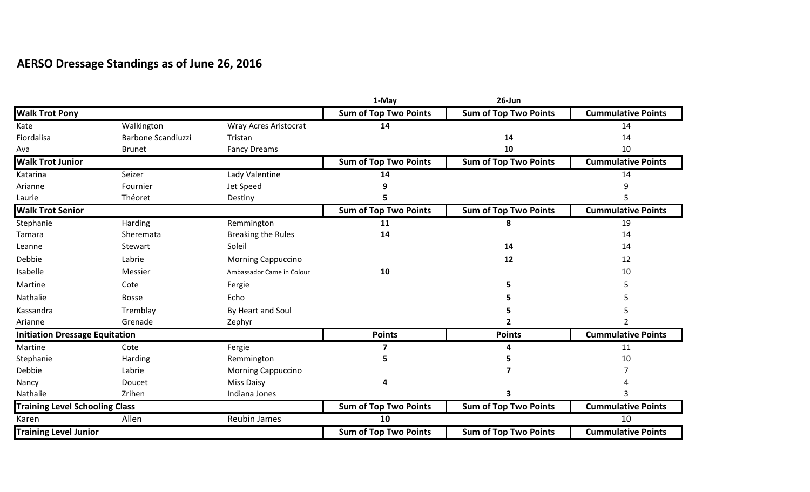## **AERSO Dressage Standings as of June 26, 2016**

|                                       |                           |                              | 1-May                        | 26-Jun                       |                           |
|---------------------------------------|---------------------------|------------------------------|------------------------------|------------------------------|---------------------------|
| <b>Walk Trot Pony</b>                 |                           |                              | <b>Sum of Top Two Points</b> | <b>Sum of Top Two Points</b> | <b>Cummulative Points</b> |
| Kate                                  | Walkington                | <b>Wray Acres Aristocrat</b> | 14                           |                              | 14                        |
| Fiordalisa                            | <b>Barbone Scandiuzzi</b> | Tristan                      |                              | 14                           | 14                        |
| Ava                                   | <b>Brunet</b>             | <b>Fancy Dreams</b>          |                              | 10                           | 10                        |
| <b>Walk Trot Junior</b>               |                           |                              | <b>Sum of Top Two Points</b> | <b>Sum of Top Two Points</b> | <b>Cummulative Points</b> |
| Katarina                              | Seizer                    | Lady Valentine               | 14                           |                              | 14                        |
| Arianne                               | Fournier                  | Jet Speed                    |                              |                              | q                         |
| Laurie                                | Théoret                   | Destiny                      |                              |                              |                           |
| <b>Walk Trot Senior</b>               |                           |                              | <b>Sum of Top Two Points</b> | <b>Sum of Top Two Points</b> | <b>Cummulative Points</b> |
| Stephanie                             | Harding                   | Remmington                   | 11                           | 8                            | 19                        |
| Tamara                                | Sheremata                 | <b>Breaking the Rules</b>    | 14                           |                              | 14                        |
| Leanne                                | Stewart                   | Soleil                       |                              | 14                           | 14                        |
| Debbie                                | Labrie                    | <b>Morning Cappuccino</b>    |                              | 12                           | 12                        |
| Isabelle                              | Messier                   | Ambassador Came in Colour    | 10                           |                              | 10                        |
| Martine                               | Cote                      | Fergie                       |                              |                              |                           |
| Nathalie                              | <b>Bosse</b>              | Echo                         |                              |                              |                           |
| Kassandra                             | Tremblay                  | By Heart and Soul            |                              |                              |                           |
| Arianne                               | Grenade                   | Zephyr                       |                              |                              |                           |
| <b>Initiation Dressage Equitation</b> |                           |                              | <b>Points</b>                | <b>Points</b>                | <b>Cummulative Points</b> |
| Martine                               | Cote                      | Fergie                       | 7                            |                              | 11                        |
| Stephanie                             | Harding                   | Remmington                   |                              |                              | 10                        |
| Debbie                                | Labrie                    | <b>Morning Cappuccino</b>    |                              |                              |                           |
| Nancy                                 | Doucet                    | <b>Miss Daisy</b>            | 4                            |                              |                           |
| Nathalie                              | Zrihen                    | Indiana Jones                |                              |                              |                           |
| <b>Training Level Schooling Class</b> |                           |                              | <b>Sum of Top Two Points</b> | <b>Sum of Top Two Points</b> | <b>Cummulative Points</b> |
| Karen                                 | Allen                     | Reubin James                 | 10                           |                              | 10                        |
| <b>Training Level Junior</b>          |                           |                              | <b>Sum of Top Two Points</b> | <b>Sum of Top Two Points</b> | <b>Cummulative Points</b> |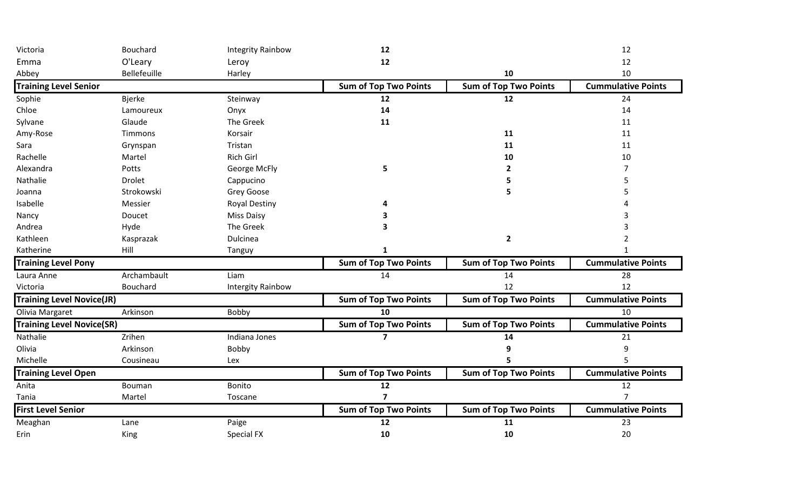| Victoria                         | Bouchard      | <b>Integrity Rainbow</b> | 12                           |                              | 12                        |
|----------------------------------|---------------|--------------------------|------------------------------|------------------------------|---------------------------|
| Emma                             | O'Leary       | Leroy                    | 12                           |                              | 12                        |
| Abbey                            | Bellefeuille  | Harley                   |                              | 10                           | 10                        |
| <b>Training Level Senior</b>     |               |                          | <b>Sum of Top Two Points</b> | <b>Sum of Top Two Points</b> | <b>Cummulative Points</b> |
| Sophie                           | <b>Bjerke</b> | Steinway                 | 12                           | 12                           | 24                        |
| Chloe                            | Lamoureux     | Onyx                     | 14                           |                              | 14                        |
| Sylvane                          | Glaude        | The Greek                | 11                           |                              | 11                        |
| Amy-Rose                         | Timmons       | Korsair                  |                              | 11                           | 11                        |
| Sara                             | Grynspan      | Tristan                  |                              | 11                           | 11                        |
| Rachelle                         | Martel        | <b>Rich Girl</b>         |                              | 10                           | 10                        |
| Alexandra                        | Potts         | George McFly             | 5                            | $\overline{2}$               |                           |
| Nathalie                         | <b>Drolet</b> | Cappucino                |                              | 5                            |                           |
| Joanna                           | Strokowski    | Grey Goose               |                              | 5                            |                           |
| Isabelle                         | Messier       | <b>Royal Destiny</b>     |                              |                              |                           |
| Nancy                            | Doucet        | <b>Miss Daisy</b>        |                              |                              |                           |
| Andrea                           | Hyde          | The Greek                | 3                            |                              |                           |
| Kathleen                         | Kasprazak     | Dulcinea                 |                              | $\overline{\mathbf{2}}$      |                           |
| Katherine                        | Hill          | Tanguy                   | 1                            |                              |                           |
| <b>Training Level Pony</b>       |               |                          | <b>Sum of Top Two Points</b> | <b>Sum of Top Two Points</b> | <b>Cummulative Points</b> |
| Laura Anne                       | Archambault   | Liam                     | 14                           | 14                           | 28                        |
| Victoria                         | Bouchard      | <b>Intergity Rainbow</b> |                              | 12                           | 12                        |
| <b>Training Level Novice(JR)</b> |               |                          | <b>Sum of Top Two Points</b> | <b>Sum of Top Two Points</b> | <b>Cummulative Points</b> |
| Olivia Margaret                  | Arkinson      | Bobby                    | 10                           |                              | 10                        |
| <b>Training Level Novice(SR)</b> |               |                          | <b>Sum of Top Two Points</b> | <b>Sum of Top Two Points</b> | <b>Cummulative Points</b> |
| Nathalie                         | Zrihen        | Indiana Jones            | $\overline{\mathbf{z}}$      | 14                           | 21                        |
| Olivia                           | Arkinson      | Bobby                    |                              | q                            | 9                         |
| Michelle                         | Cousineau     | Lex                      |                              |                              |                           |
| <b>Training Level Open</b>       |               |                          | <b>Sum of Top Two Points</b> | <b>Sum of Top Two Points</b> | <b>Cummulative Points</b> |
| Anita                            | Bouman        | Bonito                   | 12                           |                              | 12                        |
| Tania                            | Martel        | Toscane                  | $\overline{7}$               |                              | $\overline{7}$            |
| <b>First Level Senior</b>        |               |                          | <b>Sum of Top Two Points</b> | <b>Sum of Top Two Points</b> | <b>Cummulative Points</b> |
| Meaghan                          | Lane          | Paige                    | 12                           | 11                           | 23                        |
| Erin                             | King          | Special FX               | 10                           | 10                           | 20                        |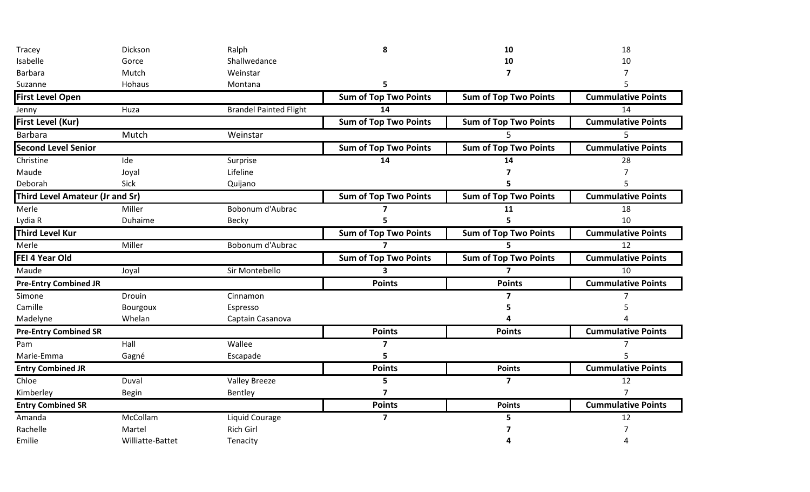| Tracey                                 | Dickson          | Ralph                         | 8                            | 10                           | 18                        |
|----------------------------------------|------------------|-------------------------------|------------------------------|------------------------------|---------------------------|
| Isabelle                               | Gorce            | Shallwedance                  |                              | 10                           | 10                        |
| <b>Barbara</b>                         | Mutch            | Weinstar                      |                              | 7                            |                           |
| Suzanne                                | Hohaus           | Montana                       | 5                            |                              |                           |
| <b>First Level Open</b>                |                  |                               | <b>Sum of Top Two Points</b> | <b>Sum of Top Two Points</b> | <b>Cummulative Points</b> |
| Jenny                                  | Huza             | <b>Brandel Painted Flight</b> | 14                           |                              | 14                        |
| First Level (Kur)                      |                  |                               | <b>Sum of Top Two Points</b> | <b>Sum of Top Two Points</b> | <b>Cummulative Points</b> |
| <b>Barbara</b>                         | Mutch            | Weinstar                      |                              | 5                            | 5                         |
| <b>Second Level Senior</b>             |                  |                               | <b>Sum of Top Two Points</b> | <b>Sum of Top Two Points</b> | <b>Cummulative Points</b> |
| Christine                              | Ide              | Surprise                      | 14                           | 14                           | 28                        |
| Maude                                  | Joyal            | Lifeline                      |                              |                              |                           |
| Deborah                                | Sick             | Quijano                       |                              |                              |                           |
| <b>Third Level Amateur (Jr and Sr)</b> |                  |                               | <b>Sum of Top Two Points</b> | <b>Sum of Top Two Points</b> | <b>Cummulative Points</b> |
| Merle                                  | Miller           | Bobonum d'Aubrac              |                              | 11                           | 18                        |
| Lydia R                                | Duhaime          | <b>Becky</b>                  |                              |                              | 10                        |
| <b>Third Level Kur</b>                 |                  |                               | <b>Sum of Top Two Points</b> | <b>Sum of Top Two Points</b> | <b>Cummulative Points</b> |
| Merle                                  | Miller           | Bobonum d'Aubrac              | $\overline{7}$               | 5                            | 12                        |
| FEI 4 Year Old                         |                  |                               | <b>Sum of Top Two Points</b> | <b>Sum of Top Two Points</b> | <b>Cummulative Points</b> |
| Maude                                  | Joyal            | Sir Montebello                | 3                            | 7                            | 10                        |
| <b>Pre-Entry Combined JR</b>           |                  |                               | <b>Points</b>                | <b>Points</b>                | <b>Cummulative Points</b> |
| Simone                                 | Drouin           | Cinnamon                      |                              | 7                            |                           |
| Camille                                | Bourgoux         | Espresso                      |                              |                              |                           |
| Madelyne                               | Whelan           | Captain Casanova              |                              |                              |                           |
| <b>Pre-Entry Combined SR</b>           |                  |                               | <b>Points</b>                | <b>Points</b>                | <b>Cummulative Points</b> |
| Pam                                    | Hall             | Wallee                        | $\overline{\mathbf{z}}$      |                              |                           |
| Marie-Emma                             | Gagné            | Escapade                      | 5                            |                              |                           |
| <b>Entry Combined JR</b>               |                  |                               | <b>Points</b>                | <b>Points</b>                | <b>Cummulative Points</b> |
| Chloe                                  | Duval            | <b>Valley Breeze</b>          | 5                            | $\overline{7}$               | 12                        |
| Kimberley                              | <b>Begin</b>     | Bentley                       | $\overline{\mathbf{z}}$      |                              | $\overline{7}$            |
| <b>Entry Combined SR</b>               |                  |                               | <b>Points</b>                | <b>Points</b>                | <b>Cummulative Points</b> |
| Amanda                                 | McCollam         | Liquid Courage                | $\overline{\mathbf{z}}$      | 5                            | 12                        |
| Rachelle                               | Martel           | <b>Rich Girl</b>              |                              |                              |                           |
| Emilie                                 | Williatte-Battet | Tenacity                      |                              |                              |                           |